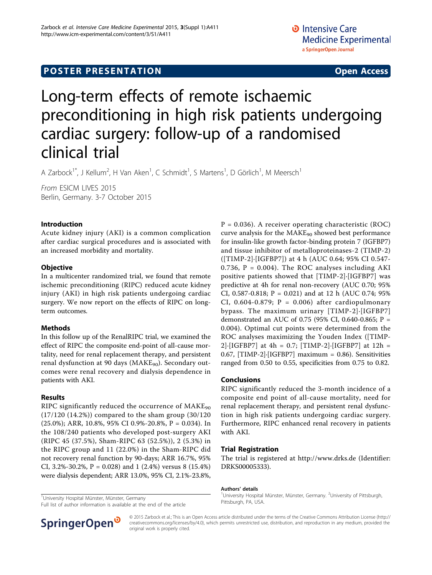## **POSTER PRESENTATION CONSUMING THE SERVICE SERVICE SERVICES**

# Long-term effects of remote ischaemic preconditioning in high risk patients undergoing cardiac surgery: follow-up of a randomised clinical trial

A Zarbock<sup>1\*</sup>, J Kellum<sup>2</sup>, H Van Aken<sup>1</sup>, C Schmidt<sup>1</sup>, S Martens<sup>1</sup>, D Görlich<sup>1</sup>, M Meersch<sup>1</sup>

From ESICM LIVES 2015 Berlin, Germany. 3-7 October 2015

#### Introduction

Acute kidney injury (AKI) is a common complication after cardiac surgical procedures and is associated with an increased morbidity and mortality.

#### **Objective**

In a multicenter randomized trial, we found that remote ischemic preconditioning (RIPC) reduced acute kidney injury (AKI) in high risk patients undergoing cardiac surgery. We now report on the effects of RIPC on longterm outcomes.

#### Methods

In this follow up of the RenalRIPC trial, we examined the effect of RIPC the composite end-point of all-cause mortality, need for renal replacement therapy, and persistent renal dysfunction at 90 days ( $MAKE_{90}$ ). Secondary outcomes were renal recovery and dialysis dependence in patients with AKI.

#### Results

RIPC significantly reduced the occurrence of  $MAKE_{90}$ (17/120 (14.2%)) compared to the sham group (30/120 (25.0%); ARR, 10.8%, 95% CI 0.9%-20.8%, P = 0.034). In the 108/240 patients who developed post-surgery AKI (RIPC 45 (37.5%), Sham-RIPC 63 (52.5%)), 2 (5.3%) in the RIPC group and 11 (22.0%) in the Sham-RIPC did not recovery renal function by 90-days; ARR 16.7%, 95% CI, 3.2%-30.2%,  $P = 0.028$ ) and 1 (2.4%) versus 8 (15.4%) were dialysis dependent; ARR 13.0%, 95% CI, 2.1%-23.8%,

<sup>1</sup>University Hospital Münster, Münster, Germany

Full list of author information is available at the end of the article

 $P = 0.036$ ). A receiver operating characteristic (ROC) curve analysis for the  $MAKE_{90}$  showed best performance for insulin-like growth factor-binding protein 7 (IGFBP7) and tissue inhibitor of metalloproteinases-2 (TIMP-2) ([TIMP-2]·[IGFBP7]) at 4 h (AUC 0.64; 95% CI 0.547- 0.736,  $P = 0.004$ ). The ROC analyses including AKI positive patients showed that [TIMP-2]·[IGFBP7] was predictive at 4h for renal non-recovery (AUC 0.70; 95% CI, 0.587-0.818; P = 0.021) and at 12 h (AUC 0.74; 95% CI,  $0.604 - 0.879$ ;  $P = 0.006$ ) after cardiopulmonary bypass. The maximum urinary [TIMP-2]·[IGFBP7] demonstrated an AUC of 0.75 (95% CI, 0.640-0.865; P = 0.004). Optimal cut points were determined from the ROC analyses maximizing the Youden Index ([TIMP-2]·[IGFBP7] at 4h = 0.7; [TIMP-2]·[IGFBP7] at 12h = 0.67,  $[TIMP-2]$ ·  $[IGFBP7]$  maximum = 0.86). Sensitivities ranged from 0.50 to 0.55, specificities from 0.75 to 0.82.

#### Conclusions

RIPC significantly reduced the 3-month incidence of a composite end point of all-cause mortality, need for renal replacement therapy, and persistent renal dysfunction in high risk patients undergoing cardiac surgery. Furthermore, RIPC enhanced renal recovery in patients with AKI.

#### Trial Registration

The trial is registered at<http://www.drks.de> (Identifier: DRKS00005333).

#### Authors' details <sup>1</sup>

University Hospital Münster, Münster, Germany. <sup>2</sup>University of Pittsburgh, Pittsburgh, PA, USA.



© 2015 Zarbock et al.; This is an Open Access article distributed under the terms of the Creative Commons Attribution License [\(http://](http://creativecommons.org/licenses/by/4.0) [creativecommons.org/licenses/by/4.0](http://creativecommons.org/licenses/by/4.0)), which permits unrestricted use, distribution, and reproduction in any medium, provided the original work is properly cited.